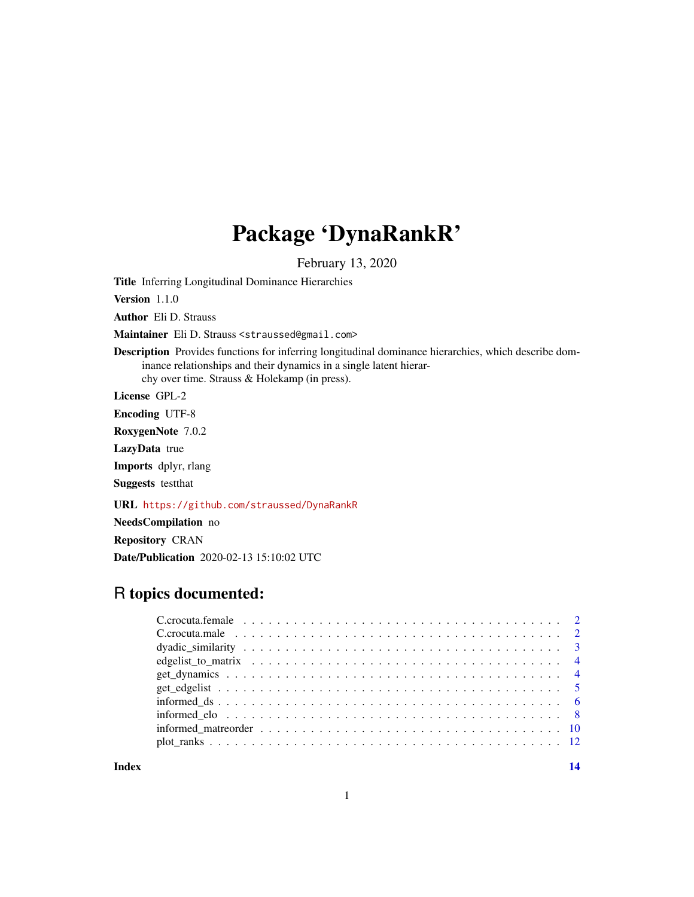## Package 'DynaRankR'

February 13, 2020

Title Inferring Longitudinal Dominance Hierarchies

Version 1.1.0

Author Eli D. Strauss

Maintainer Eli D. Strauss <straussed@gmail.com>

Description Provides functions for inferring longitudinal dominance hierarchies, which describe dominance relationships and their dynamics in a single latent hierarchy over time. Strauss & Holekamp (in press).

License GPL-2

Encoding UTF-8

RoxygenNote 7.0.2

LazyData true

Imports dplyr, rlang

Suggests testthat

URL <https://github.com/straussed/DynaRankR>

NeedsCompilation no

Repository CRAN

Date/Publication 2020-02-13 15:10:02 UTC

### R topics documented:

**Index** 2008 **[14](#page-13-0)**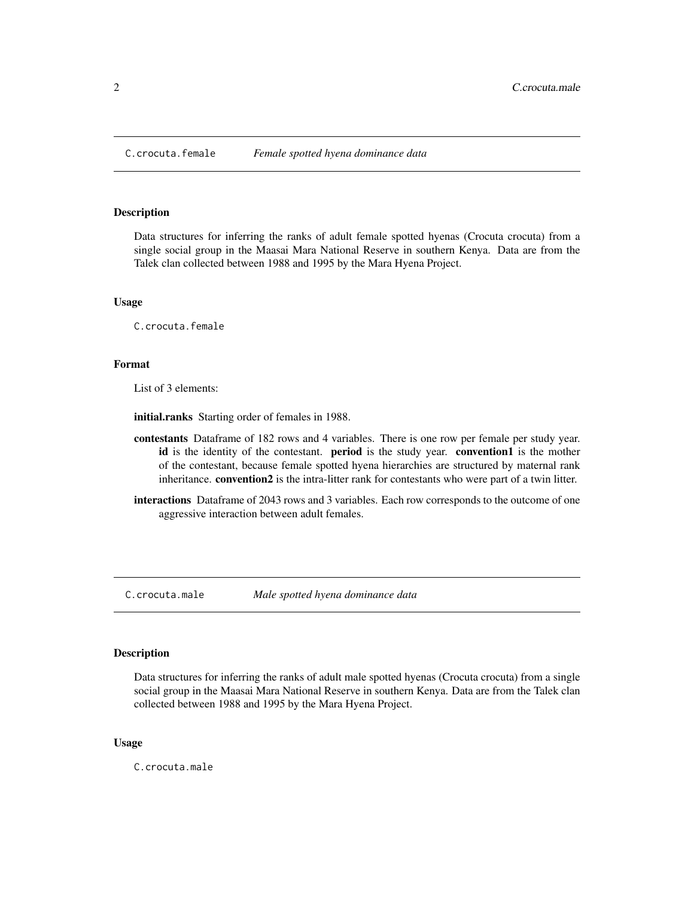<span id="page-1-0"></span>

#### Description

Data structures for inferring the ranks of adult female spotted hyenas (Crocuta crocuta) from a single social group in the Maasai Mara National Reserve in southern Kenya. Data are from the Talek clan collected between 1988 and 1995 by the Mara Hyena Project.

#### Usage

C.crocuta.female

#### Format

List of 3 elements:

initial.ranks Starting order of females in 1988.

- contestants Dataframe of 182 rows and 4 variables. There is one row per female per study year. id is the identity of the contestant. **period** is the study year. **convention1** is the mother of the contestant, because female spotted hyena hierarchies are structured by maternal rank inheritance. convention2 is the intra-litter rank for contestants who were part of a twin litter.
- interactions Dataframe of 2043 rows and 3 variables. Each row corresponds to the outcome of one aggressive interaction between adult females.

C.crocuta.male *Male spotted hyena dominance data*

#### **Description**

Data structures for inferring the ranks of adult male spotted hyenas (Crocuta crocuta) from a single social group in the Maasai Mara National Reserve in southern Kenya. Data are from the Talek clan collected between 1988 and 1995 by the Mara Hyena Project.

#### Usage

C.crocuta.male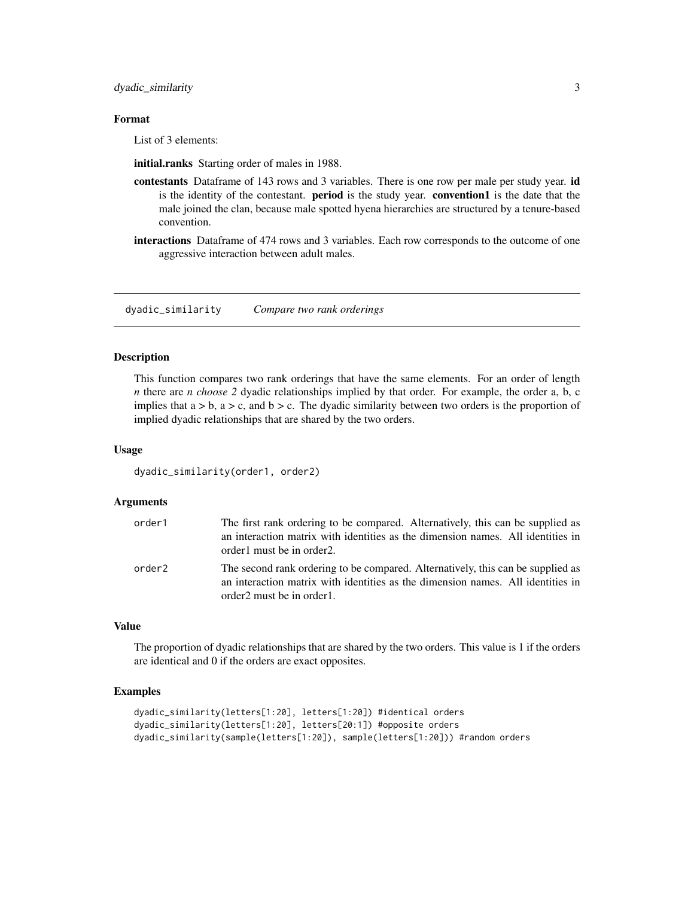<span id="page-2-0"></span>dyadic\_similarity 3

#### Format

List of 3 elements:

initial.ranks Starting order of males in 1988.

- contestants Dataframe of 143 rows and 3 variables. There is one row per male per study year. id is the identity of the contestant. **period** is the study year. **convention1** is the date that the male joined the clan, because male spotted hyena hierarchies are structured by a tenure-based convention.
- interactions Dataframe of 474 rows and 3 variables. Each row corresponds to the outcome of one aggressive interaction between adult males.

dyadic\_similarity *Compare two rank orderings*

#### Description

This function compares two rank orderings that have the same elements. For an order of length *n* there are *n choose 2* dyadic relationships implied by that order. For example, the order a, b, c implies that  $a > b$ ,  $a > c$ , and  $b > c$ . The dyadic similarity between two orders is the proportion of implied dyadic relationships that are shared by the two orders.

#### Usage

```
dyadic_similarity(order1, order2)
```
#### Arguments

| order1             | The first rank ordering to be compared. Alternatively, this can be supplied as<br>an interaction matrix with identities as the dimension names. All identities in<br>order1 must be in order2.  |
|--------------------|-------------------------------------------------------------------------------------------------------------------------------------------------------------------------------------------------|
| order <sub>2</sub> | The second rank ordering to be compared. Alternatively, this can be supplied as<br>an interaction matrix with identities as the dimension names. All identities in<br>order2 must be in order1. |

#### Value

The proportion of dyadic relationships that are shared by the two orders. This value is 1 if the orders are identical and 0 if the orders are exact opposites.

#### Examples

```
dyadic_similarity(letters[1:20], letters[1:20]) #identical orders
dyadic_similarity(letters[1:20], letters[20:1]) #opposite orders
dyadic_similarity(sample(letters[1:20]), sample(letters[1:20])) #random orders
```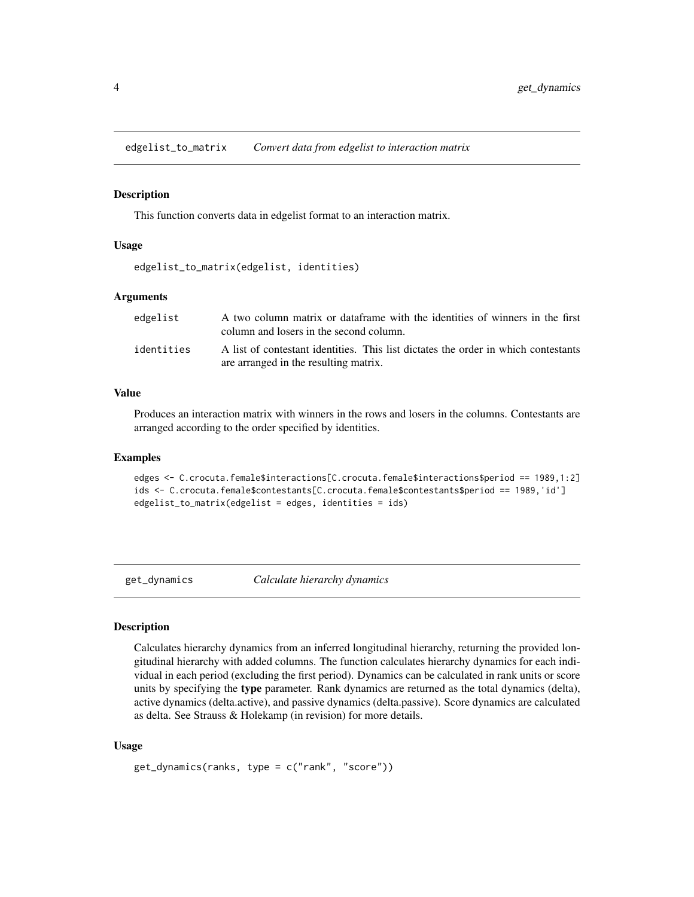<span id="page-3-0"></span>edgelist\_to\_matrix *Convert data from edgelist to interaction matrix*

#### **Description**

This function converts data in edgelist format to an interaction matrix.

#### Usage

```
edgelist_to_matrix(edgelist, identities)
```
#### Arguments

| edgelist   | A two column matrix or dataframe with the identities of winners in the first<br>column and losers in the second column.     |
|------------|-----------------------------------------------------------------------------------------------------------------------------|
| identities | A list of contestant identities. This list dictates the order in which contestants<br>are arranged in the resulting matrix. |

#### Value

Produces an interaction matrix with winners in the rows and losers in the columns. Contestants are arranged according to the order specified by identities.

#### Examples

```
edges <- C.crocuta.female$interactions[C.crocuta.female$interactions$period == 1989,1:2]
ids <- C.crocuta.female$contestants[C.crocuta.female$contestants$period == 1989,'id']
edgelist_to_matrix(edgelist = edges, identities = ids)
```
get\_dynamics *Calculate hierarchy dynamics*

#### Description

Calculates hierarchy dynamics from an inferred longitudinal hierarchy, returning the provided longitudinal hierarchy with added columns. The function calculates hierarchy dynamics for each individual in each period (excluding the first period). Dynamics can be calculated in rank units or score units by specifying the type parameter. Rank dynamics are returned as the total dynamics (delta), active dynamics (delta.active), and passive dynamics (delta.passive). Score dynamics are calculated as delta. See Strauss & Holekamp (in revision) for more details.

#### Usage

```
get_dynamics(ranks, type = c("rank", "score"))
```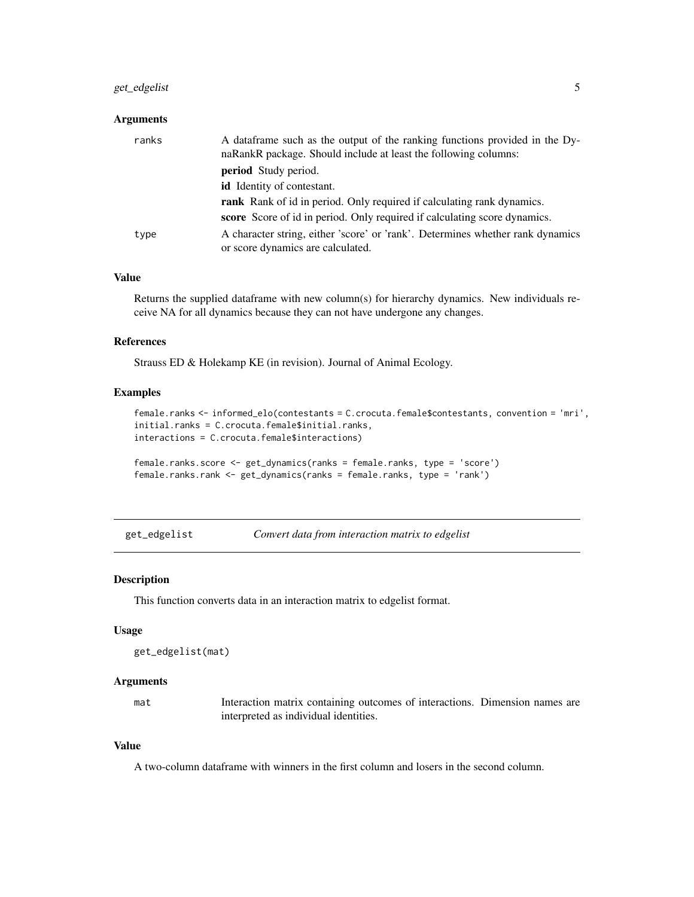#### <span id="page-4-0"></span>get\_edgelist 5

#### Arguments

| ranks | A data frame such as the output of the ranking functions provided in the Dy-<br>naRankR package. Should include at least the following columns: |
|-------|-------------------------------------------------------------------------------------------------------------------------------------------------|
|       | <b>period</b> Study period.                                                                                                                     |
|       | id Identity of contestant.                                                                                                                      |
|       | <b>rank</b> Rank of id in period. Only required if calculating rank dynamics.                                                                   |
|       | score Score of id in period. Only required if calculating score dynamics.                                                                       |
| type  | A character string, either 'score' or 'rank'. Determines whether rank dynamics<br>or score dynamics are calculated.                             |

#### Value

Returns the supplied dataframe with new column(s) for hierarchy dynamics. New individuals receive NA for all dynamics because they can not have undergone any changes.

#### References

Strauss ED & Holekamp KE (in revision). Journal of Animal Ecology.

#### Examples

```
female.ranks <- informed_elo(contestants = C.crocuta.female$contestants, convention = 'mri',
initial.ranks = C.crocuta.female$initial.ranks,
interactions = C.crocuta.female$interactions)
```

```
female.ranks.score <- get_dynamics(ranks = female.ranks, type = 'score')
female.ranks.rank <- get_dynamics(ranks = female.ranks, type = 'rank')
```

```
get_edgelist Convert data from interaction matrix to edgelist
```
#### Description

This function converts data in an interaction matrix to edgelist format.

#### Usage

```
get_edgelist(mat)
```
#### **Arguments**

mat Interaction matrix containing outcomes of interactions. Dimension names are interpreted as individual identities.

#### Value

A two-column dataframe with winners in the first column and losers in the second column.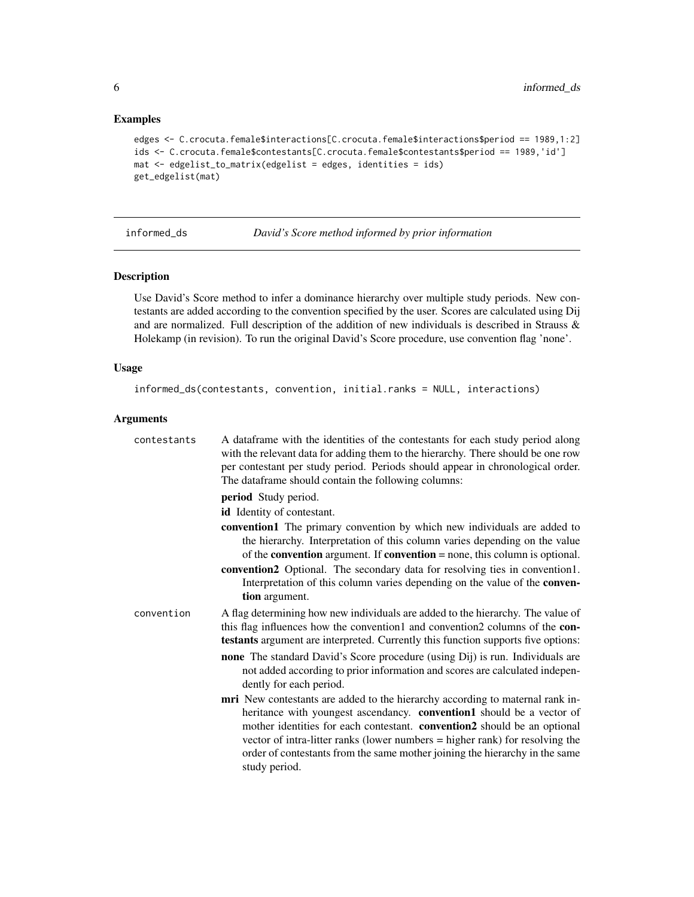#### Examples

```
edges <- C.crocuta.female$interactions[C.crocuta.female$interactions$period == 1989,1:2]
ids <- C.crocuta.female$contestants[C.crocuta.female$contestants$period == 1989,'id']
mat <- edgelist_to_matrix(edgelist = edges, identities = ids)
get_edgelist(mat)
```
informed\_ds *David's Score method informed by prior information*

#### Description

Use David's Score method to infer a dominance hierarchy over multiple study periods. New contestants are added according to the convention specified by the user. Scores are calculated using Dij and are normalized. Full description of the addition of new individuals is described in Strauss & Holekamp (in revision). To run the original David's Score procedure, use convention flag 'none'.

#### Usage

```
informed_ds(contestants, convention, initial.ranks = NULL, interactions)
```
#### Arguments

| contestants | A data frame with the identities of the contestants for each study period along<br>with the relevant data for adding them to the hierarchy. There should be one row<br>per contestant per study period. Periods should appear in chronological order.<br>The dataframe should contain the following columns:                                                                                                       |
|-------------|--------------------------------------------------------------------------------------------------------------------------------------------------------------------------------------------------------------------------------------------------------------------------------------------------------------------------------------------------------------------------------------------------------------------|
|             | period Study period.                                                                                                                                                                                                                                                                                                                                                                                               |
|             | id Identity of contestant.                                                                                                                                                                                                                                                                                                                                                                                         |
|             | convention1 The primary convention by which new individuals are added to<br>the hierarchy. Interpretation of this column varies depending on the value<br>of the <b>convention</b> argument. If <b>convention</b> = none, this column is optional.                                                                                                                                                                 |
|             | convention2 Optional. The secondary data for resolving ties in convention1.<br>Interpretation of this column varies depending on the value of the conven-<br>tion argument.                                                                                                                                                                                                                                        |
| convention  | A flag determining how new individuals are added to the hierarchy. The value of<br>this flag influences how the convention1 and convention2 columns of the con-<br>testants argument are interpreted. Currently this function supports five options:                                                                                                                                                               |
|             | <b>none</b> The standard David's Score procedure (using Dij) is run. Individuals are<br>not added according to prior information and scores are calculated indepen-<br>dently for each period.                                                                                                                                                                                                                     |
|             | mri New contestants are added to the hierarchy according to maternal rank in-<br>heritance with youngest ascendancy. convention1 should be a vector of<br>mother identities for each contestant. convention2 should be an optional<br>vector of intra-litter ranks (lower numbers = higher rank) for resolving the<br>order of contestants from the same mother joining the hierarchy in the same<br>study period. |

<span id="page-5-0"></span>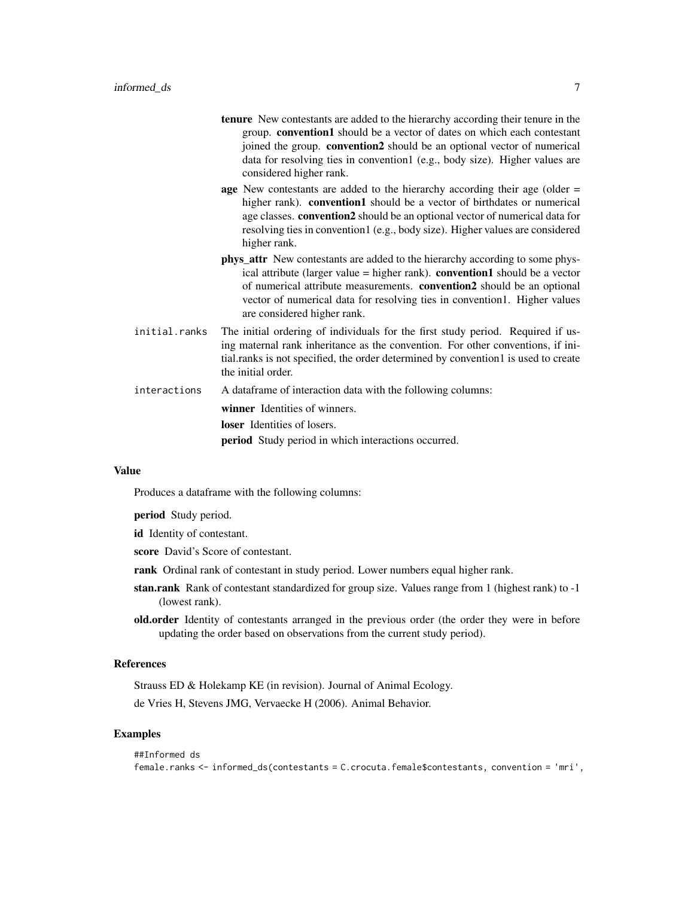- tenure New contestants are added to the hierarchy according their tenure in the group. convention1 should be a vector of dates on which each contestant joined the group. convention2 should be an optional vector of numerical data for resolving ties in convention1 (e.g., body size). Higher values are considered higher rank.
- age New contestants are added to the hierarchy according their age (older = higher rank). **convention1** should be a vector of birthdates or numerical age classes. convention2 should be an optional vector of numerical data for resolving ties in convention1 (e.g., body size). Higher values are considered higher rank.
- phys\_attr New contestants are added to the hierarchy according to some physical attribute (larger value  $=$  higher rank). **convention1** should be a vector of numerical attribute measurements. convention2 should be an optional vector of numerical data for resolving ties in convention1. Higher values are considered higher rank.
- initial.ranks The initial ordering of individuals for the first study period. Required if using maternal rank inheritance as the convention. For other conventions, if initial.ranks is not specified, the order determined by convention1 is used to create the initial order.
- interactions A dataframe of interaction data with the following columns:

winner Identities of winners. loser Identities of losers. period Study period in which interactions occurred.

#### Value

Produces a dataframe with the following columns:

period Study period.

id Identity of contestant.

- score David's Score of contestant.
- rank Ordinal rank of contestant in study period. Lower numbers equal higher rank.
- stan.rank Rank of contestant standardized for group size. Values range from 1 (highest rank) to -1 (lowest rank).
- old.order Identity of contestants arranged in the previous order (the order they were in before updating the order based on observations from the current study period).

#### References

Strauss ED & Holekamp KE (in revision). Journal of Animal Ecology.

de Vries H, Stevens JMG, Vervaecke H (2006). Animal Behavior.

#### Examples

```
##Informed ds
female.ranks <- informed_ds(contestants = C.crocuta.female$contestants, convention = 'mri',
```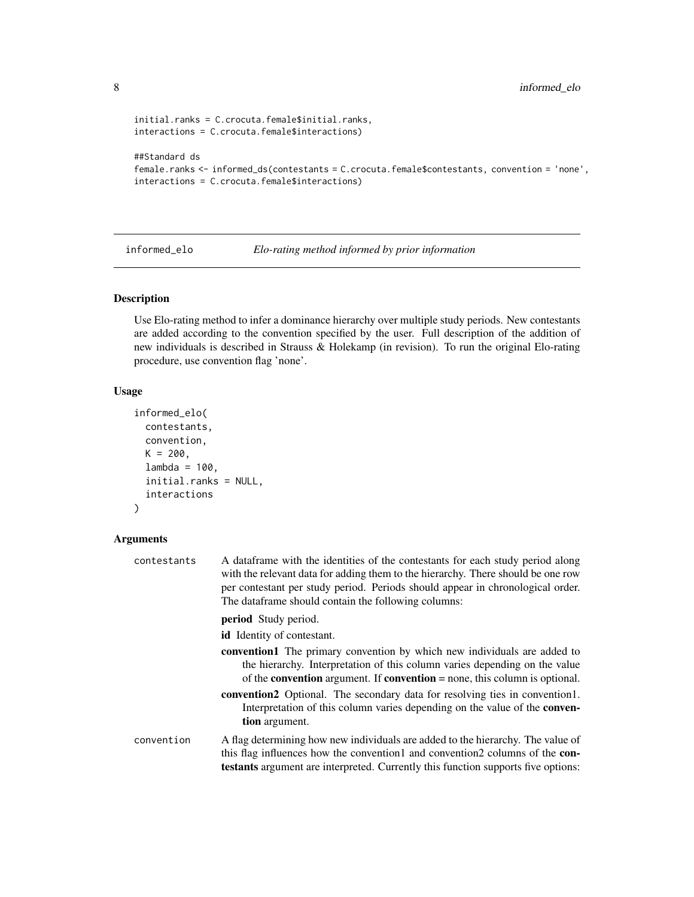```
initial.ranks = C.crocuta.female$initial.ranks,
interactions = C.crocuta.female$interactions)
##Standard ds
female.ranks <- informed_ds(contestants = C.crocuta.female$contestants, convention = 'none',
interactions = C.crocuta.female$interactions)
```
informed\_elo *Elo-rating method informed by prior information*

#### Description

Use Elo-rating method to infer a dominance hierarchy over multiple study periods. New contestants are added according to the convention specified by the user. Full description of the addition of new individuals is described in Strauss & Holekamp (in revision). To run the original Elo-rating procedure, use convention flag 'none'.

#### Usage

```
informed_elo(
  contestants,
  convention,
 K = 200,
  lambda = 100,
  initial.ranks = NULL,
  interactions
)
```
#### Arguments

| contestants | A data frame with the identities of the contestants for each study period along<br>with the relevant data for adding them to the hierarchy. There should be one row<br>per contestant per study period. Periods should appear in chronological order.<br>The dataframe should contain the following columns: |  |  |  |  |  |  |  |  |  |
|-------------|--------------------------------------------------------------------------------------------------------------------------------------------------------------------------------------------------------------------------------------------------------------------------------------------------------------|--|--|--|--|--|--|--|--|--|
|             | <b>period</b> Study period.                                                                                                                                                                                                                                                                                  |  |  |  |  |  |  |  |  |  |
|             | <b>id</b> Identity of contestant.                                                                                                                                                                                                                                                                            |  |  |  |  |  |  |  |  |  |
|             | <b>convention1</b> The primary convention by which new individuals are added to<br>the hierarchy. Interpretation of this column varies depending on the value<br>of the <b>convention</b> argument. If <b>convention</b> = none, this column is optional.                                                    |  |  |  |  |  |  |  |  |  |
|             | <b>convention2</b> Optional. The secondary data for resolving ties in convention1.<br>Interpretation of this column varies depending on the value of the <b>conven-</b><br>tion argument.                                                                                                                    |  |  |  |  |  |  |  |  |  |
| convention  | A flag determining how new individuals are added to the hierarchy. The value of<br>this flag influences how the convention1 and convention2 columns of the <b>con</b> -<br><b>testants</b> argument are interpreted. Currently this function supports five options:                                          |  |  |  |  |  |  |  |  |  |

<span id="page-7-0"></span>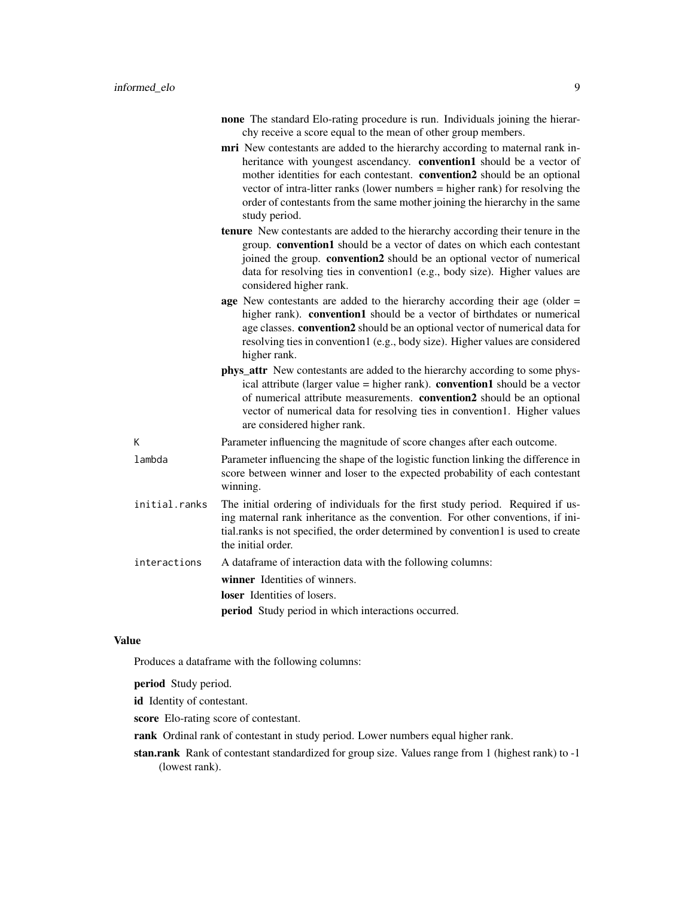- none The standard Elo-rating procedure is run. Individuals joining the hierarchy receive a score equal to the mean of other group members.
- mri New contestants are added to the hierarchy according to maternal rank inheritance with youngest ascendancy. convention1 should be a vector of mother identities for each contestant. convention2 should be an optional vector of intra-litter ranks (lower numbers = higher rank) for resolving the order of contestants from the same mother joining the hierarchy in the same study period.
- tenure New contestants are added to the hierarchy according their tenure in the group. convention1 should be a vector of dates on which each contestant joined the group. convention2 should be an optional vector of numerical data for resolving ties in convention1 (e.g., body size). Higher values are considered higher rank.
- age New contestants are added to the hierarchy according their age (older = higher rank). convention1 should be a vector of birthdates or numerical age classes. convention2 should be an optional vector of numerical data for resolving ties in convention1 (e.g., body size). Higher values are considered higher rank.
- phys\_attr New contestants are added to the hierarchy according to some physical attribute (larger value  $=$  higher rank). **convention1** should be a vector of numerical attribute measurements. convention2 should be an optional vector of numerical data for resolving ties in convention1. Higher values are considered higher rank.
- K Parameter influencing the magnitude of score changes after each outcome.
- lambda Parameter influencing the shape of the logistic function linking the difference in score between winner and loser to the expected probability of each contestant winning.
- initial.ranks The initial ordering of individuals for the first study period. Required if using maternal rank inheritance as the convention. For other conventions, if initial.ranks is not specified, the order determined by convention1 is used to create the initial order.
- interactions A dataframe of interaction data with the following columns:

winner Identities of winners.

loser Identities of losers.

period Study period in which interactions occurred.

#### Value

Produces a dataframe with the following columns:

period Study period.

id Identity of contestant.

- score Elo-rating score of contestant.
- rank Ordinal rank of contestant in study period. Lower numbers equal higher rank.
- stan.rank Rank of contestant standardized for group size. Values range from 1 (highest rank) to -1 (lowest rank).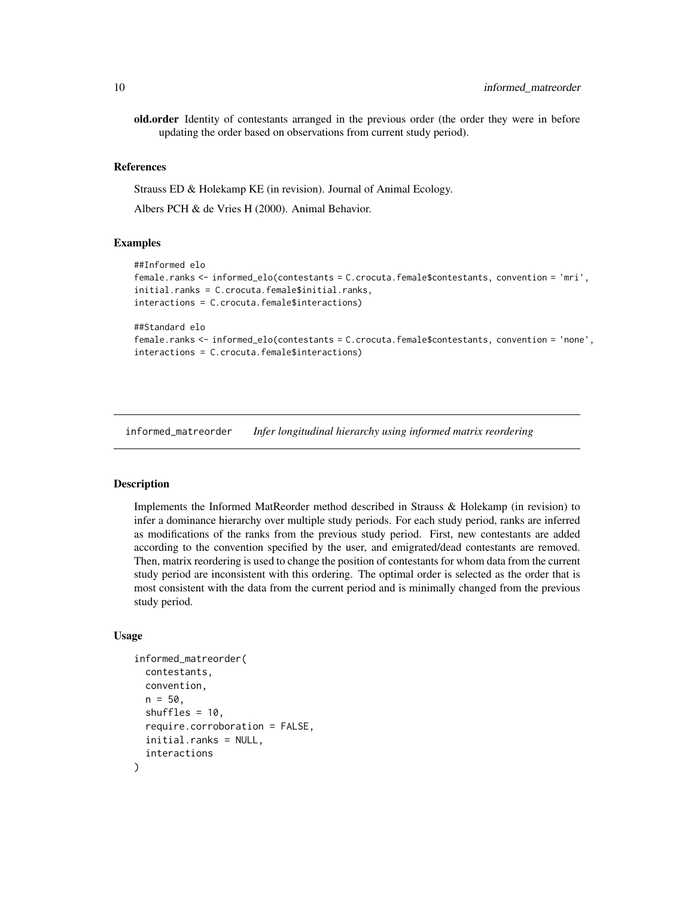<span id="page-9-0"></span>old.order Identity of contestants arranged in the previous order (the order they were in before updating the order based on observations from current study period).

#### References

Strauss ED & Holekamp KE (in revision). Journal of Animal Ecology.

Albers PCH & de Vries H (2000). Animal Behavior.

#### Examples

```
##Informed elo
female.ranks <- informed_elo(contestants = C.crocuta.female$contestants, convention = 'mri',
initial.ranks = C.crocuta.female$initial.ranks,
interactions = C.crocuta.female$interactions)
##Standard elo
female.ranks <- informed_elo(contestants = C.crocuta.female$contestants, convention = 'none',
interactions = C.crocuta.female$interactions)
```
informed\_matreorder *Infer longitudinal hierarchy using informed matrix reordering*

#### Description

Implements the Informed MatReorder method described in Strauss & Holekamp (in revision) to infer a dominance hierarchy over multiple study periods. For each study period, ranks are inferred as modifications of the ranks from the previous study period. First, new contestants are added according to the convention specified by the user, and emigrated/dead contestants are removed. Then, matrix reordering is used to change the position of contestants for whom data from the current study period are inconsistent with this ordering. The optimal order is selected as the order that is most consistent with the data from the current period and is minimally changed from the previous study period.

#### Usage

```
informed_matreorder(
  contestants,
  convention,
  n = 50.
  shuffles = 10.
  require.corroboration = FALSE,
  initial.ranks = NULL,
  interactions
)
```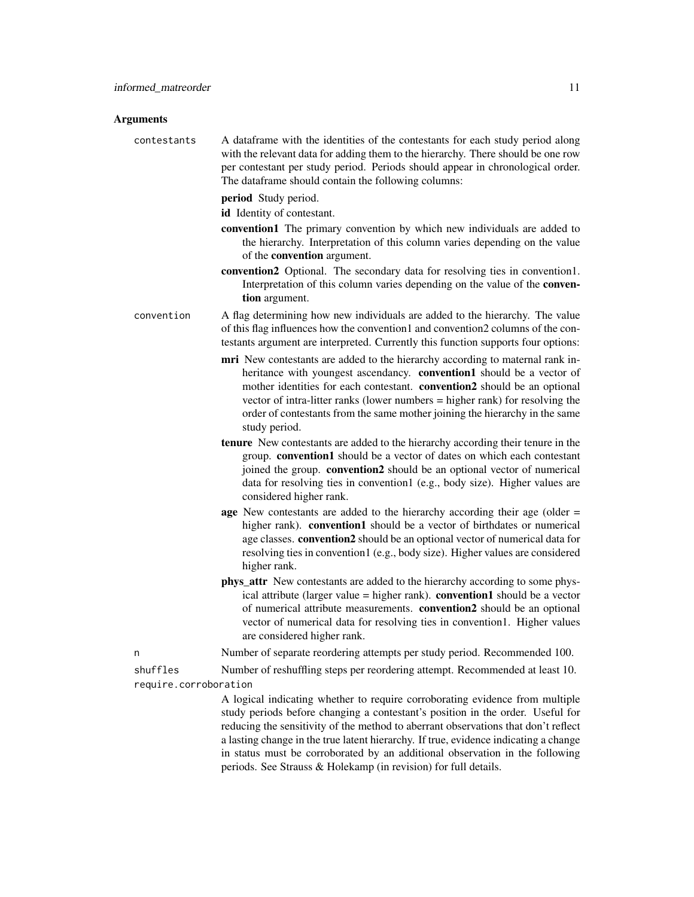#### Arguments

| contestants | A data frame with the identities of the contestants for each study period along  |
|-------------|----------------------------------------------------------------------------------|
|             | with the relevant data for adding them to the hierarchy. There should be one row |
|             | per contestant per study period. Periods should appear in chronological order.   |
|             | The dataframe should contain the following columns:                              |

period Study period.

id Identity of contestant.

- convention1 The primary convention by which new individuals are added to the hierarchy. Interpretation of this column varies depending on the value of the convention argument.
- convention2 Optional. The secondary data for resolving ties in convention1. Interpretation of this column varies depending on the value of the convention argument.

convention A flag determining how new individuals are added to the hierarchy. The value of this flag influences how the convention1 and convention2 columns of the contestants argument are interpreted. Currently this function supports four options:

- mri New contestants are added to the hierarchy according to maternal rank inheritance with youngest ascendancy. **convention1** should be a vector of mother identities for each contestant. convention2 should be an optional vector of intra-litter ranks (lower numbers = higher rank) for resolving the order of contestants from the same mother joining the hierarchy in the same study period.
- tenure New contestants are added to the hierarchy according their tenure in the group. convention1 should be a vector of dates on which each contestant joined the group. convention2 should be an optional vector of numerical data for resolving ties in convention1 (e.g., body size). Higher values are considered higher rank.
- age New contestants are added to the hierarchy according their age (older = higher rank). **convention1** should be a vector of birthdates or numerical age classes. convention2 should be an optional vector of numerical data for resolving ties in convention1 (e.g., body size). Higher values are considered higher rank.
- **phys** attr New contestants are added to the hierarchy according to some physical attribute (larger value  $=$  higher rank). **convention1** should be a vector of numerical attribute measurements. convention2 should be an optional vector of numerical data for resolving ties in convention1. Higher values are considered higher rank.
- n Number of separate reordering attempts per study period. Recommended 100.

shuffles Number of reshuffling steps per reordering attempt. Recommended at least 10. require.corroboration

> A logical indicating whether to require corroborating evidence from multiple study periods before changing a contestant's position in the order. Useful for reducing the sensitivity of the method to aberrant observations that don't reflect a lasting change in the true latent hierarchy. If true, evidence indicating a change in status must be corroborated by an additional observation in the following periods. See Strauss & Holekamp (in revision) for full details.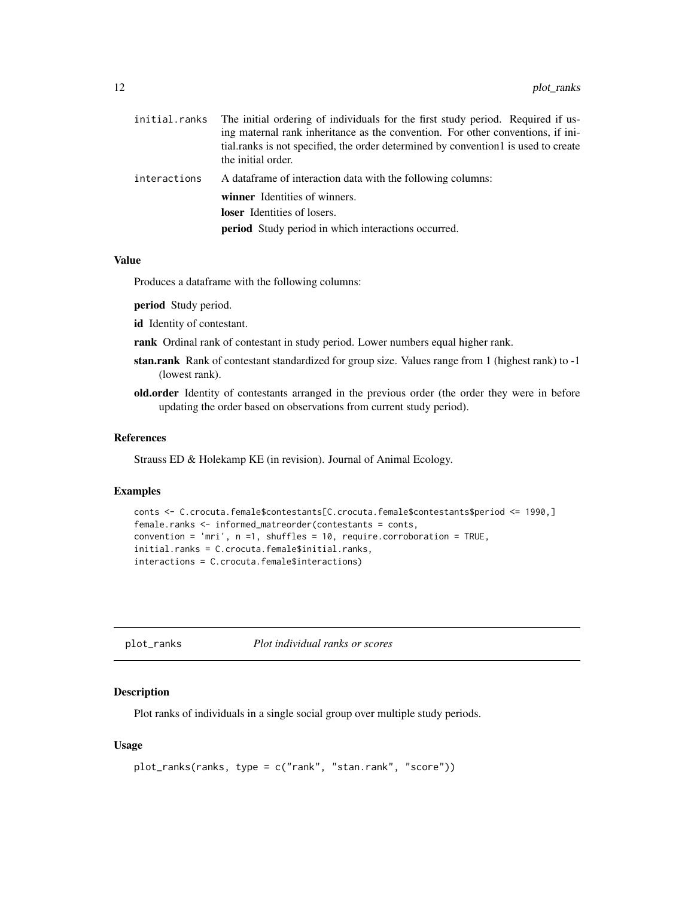<span id="page-11-0"></span>

| initial.ranks | The initial ordering of individuals for the first study period. Required if us-    |
|---------------|------------------------------------------------------------------------------------|
|               | ing maternal rank inheritance as the convention. For other conventions, if ini-    |
|               | tial.ranks is not specified, the order determined by convention1 is used to create |
|               | the initial order.                                                                 |
| interactions  | A data frame of interaction data with the following columns:                       |
|               | winner Identities of winners.                                                      |
|               | <b>loser</b> Identities of losers.                                                 |
|               | <b>period</b> Study period in which interactions occurred.                         |
|               |                                                                                    |

#### Value

Produces a dataframe with the following columns:

period Study period.

id Identity of contestant.

rank Ordinal rank of contestant in study period. Lower numbers equal higher rank.

- stan.rank Rank of contestant standardized for group size. Values range from 1 (highest rank) to -1 (lowest rank).
- old.order Identity of contestants arranged in the previous order (the order they were in before updating the order based on observations from current study period).

#### References

Strauss ED & Holekamp KE (in revision). Journal of Animal Ecology.

#### Examples

```
conts <- C.crocuta.female$contestants[C.crocuta.female$contestants$period <= 1990,]
female.ranks <- informed_matreorder(contestants = conts,
convention = 'mri', n = 1, shuffles = 10, require.corroboration = TRUE,
initial.ranks = C.crocuta.female$initial.ranks,
interactions = C.crocuta.female$interactions)
```
plot\_ranks *Plot individual ranks or scores*

#### Description

Plot ranks of individuals in a single social group over multiple study periods.

#### Usage

```
plot_ranks(ranks, type = c("rank", "stan.rank", "score"))
```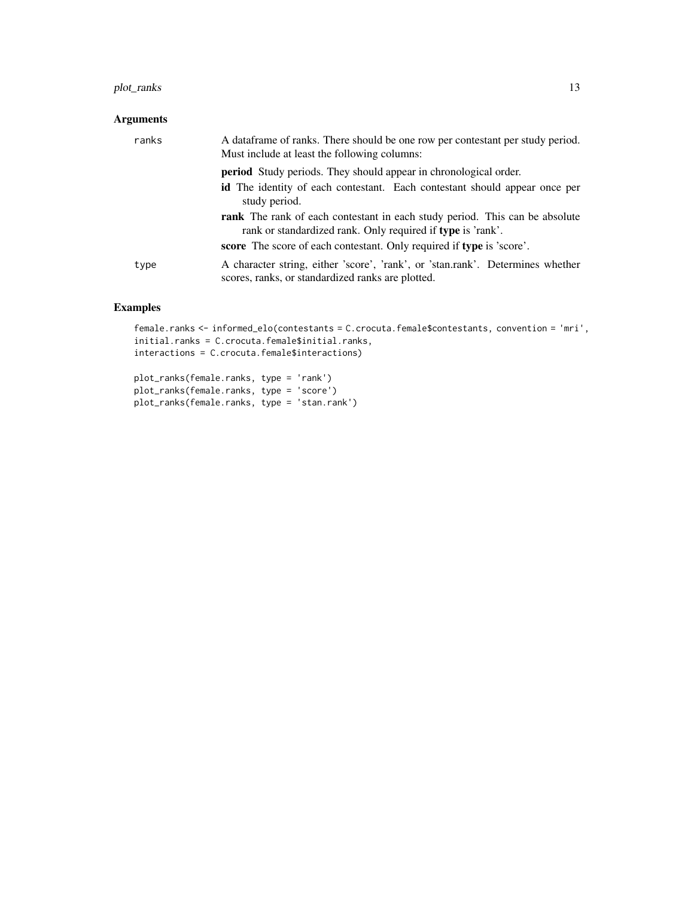#### plot\_ranks 13

#### Arguments

| ranks | A data frame of ranks. There should be one row per contestant per study period.<br>Must include at least the following columns:            |
|-------|--------------------------------------------------------------------------------------------------------------------------------------------|
|       | <b>period</b> Study periods. They should appear in chronological order.                                                                    |
|       | id The identity of each contestant. Each contestant should appear once per<br>study period.                                                |
|       | rank The rank of each contestant in each study period. This can be absolute<br>rank or standardized rank. Only required if type is 'rank'. |
|       | score The score of each contestant. Only required if type is 'score'.                                                                      |
| type  | A character string, either 'score', 'rank', or 'stan.rank'. Determines whether<br>scores, ranks, or standardized ranks are plotted.        |

#### Examples

```
female.ranks <- informed_elo(contestants = C.crocuta.female$contestants, convention = 'mri',
initial.ranks = C.crocuta.female$initial.ranks,
interactions = C.crocuta.female$interactions)
```
plot\_ranks(female.ranks, type = 'rank') plot\_ranks(female.ranks, type = 'score') plot\_ranks(female.ranks, type = 'stan.rank')